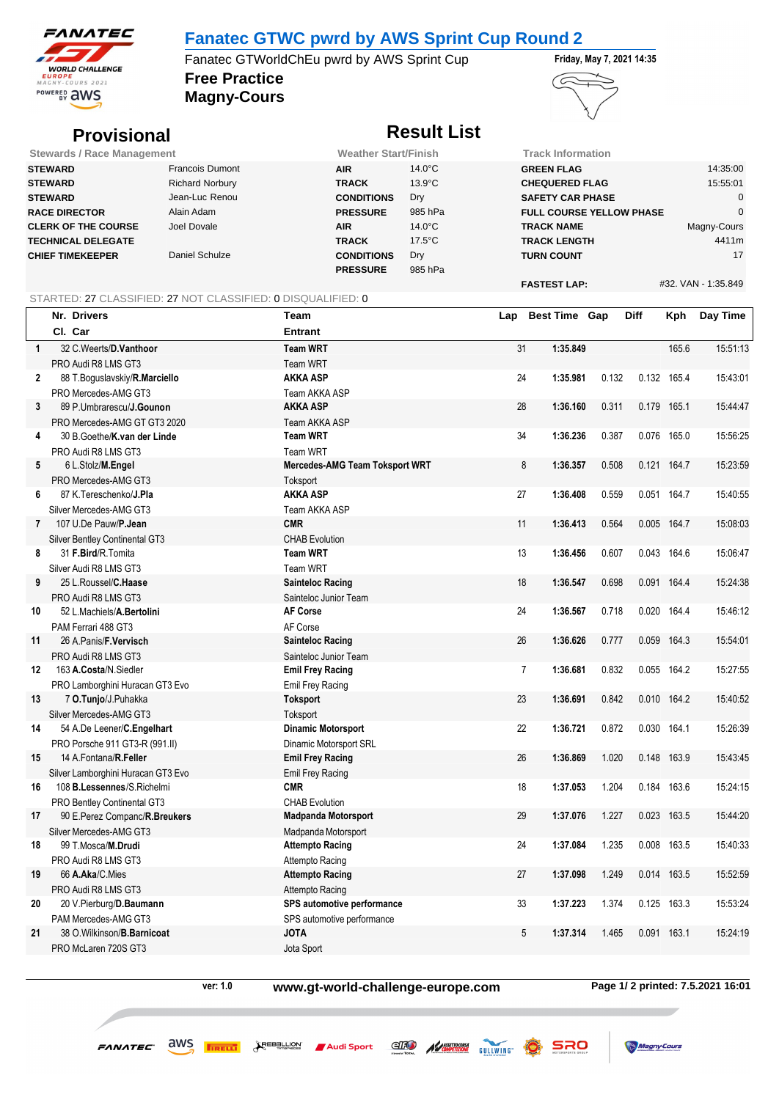

## **Fanatec GTWC pwrd by AWS Sprint Cup Round 2**

**Free Practice** Fanatec GTWorldChEu pwrd by AWS Sprint Cup Friday, May 7, 2021 14:35

**Magny-Cours**



# **Provisional** *Result List*

| <b>Stewards / Race Management</b> |                        | <b>Weather Start/Finish</b> |                  | <b>Track Information</b>        |                     |
|-----------------------------------|------------------------|-----------------------------|------------------|---------------------------------|---------------------|
| <b>STEWARD</b>                    | <b>Francois Dumont</b> | <b>AIR</b>                  | $14.0^{\circ}$ C | <b>GREEN FLAG</b>               | 14:35:00            |
| <b>STEWARD</b>                    | <b>Richard Norbury</b> | <b>TRACK</b>                | $13.9^{\circ}$ C | <b>CHEQUERED FLAG</b>           | 15:55:01            |
| <b>STEWARD</b>                    | Jean-Luc Renou         | <b>CONDITIONS</b>           | Dry              | <b>SAFETY CAR PHASE</b>         |                     |
| <b>RACE DIRECTOR</b>              | Alain Adam             | <b>PRESSURE</b>             | 985 hPa          | <b>FULL COURSE YELLOW PHASE</b> |                     |
| <b>CLERK OF THE COURSE</b>        | Joel Dovale            | <b>AIR</b>                  | $14.0^{\circ}$ C | <b>TRACK NAME</b>               | Magny-Cours         |
| <b>TECHNICAL DELEGATE</b>         |                        | <b>TRACK</b>                | $17.5^{\circ}$ C | <b>TRACK LENGTH</b>             | 4411m               |
| <b>CHIEF TIMEKEEPER</b>           | Daniel Schulze         | <b>CONDITIONS</b>           | Dry              | <b>TURN COUNT</b>               | 17                  |
|                                   |                        | <b>PRESSURE</b>             | 985 hPa          |                                 |                     |
|                                   |                        |                             |                  | <b>FASTEST LAP:</b>             | #32. VAN - 1:35.849 |

### STARTED: 27 CLASSIFIED: 27 NOT CLASSIFIED: 0 DISQUALIFIED: 0

|                | Nr. Drivers                           | Team                                  | Lap | <b>Best Time Gap</b>       |       | Diff  | Kph         | Day Time |
|----------------|---------------------------------------|---------------------------------------|-----|----------------------------|-------|-------|-------------|----------|
|                | CI. Car                               | <b>Entrant</b>                        |     |                            |       |       |             |          |
| $\mathbf{1}$   | 32 C. Weerts/D. Vanthoor              | <b>Team WRT</b>                       | 31  | 1:35.849                   |       |       | 165.6       | 15:51:13 |
|                | PRO Audi R8 LMS GT3                   | Team WRT                              |     |                            |       |       |             |          |
| $\mathbf{2}$   | 88 T.Boguslavskiy/R.Marciello         | AKKA ASP                              | 24  | 1:35.981                   | 0.132 | 0.132 | 165.4       | 15:43:01 |
|                | PRO Mercedes-AMG GT3                  | Team AKKA ASP                         |     |                            |       |       |             |          |
| 3              | 89 P.Umbrarescu/J.Gounon              | AKKA ASP                              | 28  | 1:36.160                   | 0.311 | 0.179 | 165.1       | 15:44:47 |
|                | PRO Mercedes-AMG GT GT3 2020          | Team AKKA ASP                         |     |                            |       |       |             |          |
| 4              | 30 B. Goethe/K.van der Linde          | <b>Team WRT</b>                       | 34  | 1:36.236                   | 0.387 | 0.076 | 165.0       | 15:56:25 |
|                | PRO Audi R8 LMS GT3                   | <b>Team WRT</b>                       |     |                            |       |       |             |          |
| 5              | 6 L.Stolz/M.Engel                     | <b>Mercedes-AMG Team Toksport WRT</b> | 8   | 1:36.357                   | 0.508 | 0.121 | 164.7       | 15:23:59 |
|                | PRO Mercedes-AMG GT3                  | Toksport                              |     |                            |       |       |             |          |
| 6              | 87 K. Tereschenko/ <b>J. Pla</b>      | <b>AKKA ASP</b>                       | 27  | 1:36.408                   | 0.559 |       | 0.051 164.7 | 15:40:55 |
|                | Silver Mercedes-AMG GT3               | Team AKKA ASP                         |     |                            |       |       |             |          |
| $\overline{7}$ | 107 U.De Pauw/P.Jean                  | <b>CMR</b>                            | 11  | 1:36.413                   | 0.564 | 0.005 | 164.7       | 15:08:03 |
|                | <b>Silver Bentley Continental GT3</b> | <b>CHAB Evolution</b>                 |     |                            |       |       |             |          |
| 8              | 31 F.Bird/R.Tomita                    | <b>Team WRT</b>                       | 13  | 1:36.456                   | 0.607 | 0.043 | 164.6       | 15:06:47 |
|                | Silver Audi R8 LMS GT3                | <b>Team WRT</b>                       |     |                            |       |       |             |          |
| 9              | 25 L.Roussel/C.Haase                  | <b>Sainteloc Racing</b>               | 18  | 1:36.547                   | 0.698 | 0.091 | 164.4       | 15:24:38 |
|                | PRO Audi R8 LMS GT3                   | Sainteloc Junior Team                 |     |                            |       |       |             |          |
| 10             | 52 L.Machiels/A.Bertolini             | <b>AF Corse</b>                       | 24  | 1:36.567                   | 0.718 | 0.020 | 164.4       | 15:46:12 |
|                | PAM Ferrari 488 GT3                   | AF Corse                              |     |                            |       |       |             |          |
| 11             | 26 A.Panis/F.Vervisch                 | Sainteloc Racing                      | 26  | 1:36.626                   | 0.777 | 0.059 | 164.3       | 15:54:01 |
|                | PRO Audi R8 LMS GT3                   | Sainteloc Junior Team                 |     |                            |       |       |             |          |
| 12             | 163 A.Costa/N.Siedler                 | <b>Emil Frey Racing</b>               |     | $\overline{7}$<br>1:36.681 | 0.832 | 0.055 | 164.2       | 15:27:55 |
|                | PRO Lamborghini Huracan GT3 Evo       | <b>Emil Frey Racing</b>               |     |                            |       |       |             |          |
| 13             | 7 O.Tunjo/J.Puhakka                   | <b>Toksport</b>                       | 23  | 1:36.691                   | 0.842 | 0.010 | 164.2       | 15:40:52 |
|                | Silver Mercedes-AMG GT3               | Toksport                              |     |                            |       |       |             |          |
| 14             | 54 A.De Leener/C.Engelhart            | <b>Dinamic Motorsport</b>             | 22  | 1:36.721                   | 0.872 | 0.030 | 164.1       | 15:26:39 |
|                | PRO Porsche 911 GT3-R (991.II)        | Dinamic Motorsport SRL                |     |                            |       |       |             |          |
| 15             | 14 A. Fontana/R. Feller               | <b>Emil Frey Racing</b>               | 26  | 1:36.869                   | 1.020 | 0.148 | 163.9       | 15:43:45 |
|                | Silver Lamborghini Huracan GT3 Evo    | <b>Emil Frey Racing</b>               |     |                            |       |       |             |          |
| 16             | 108 <b>B.Lessennes/S.Richelmi</b>     | <b>CMR</b>                            | 18  | 1:37.053                   | 1.204 | 0.184 | 163.6       | 15:24:15 |
|                | <b>PRO Bentley Continental GT3</b>    | <b>CHAB Evolution</b>                 |     |                            |       |       |             |          |
| 17             | 90 E.Perez Companc/R.Breukers         | Madpanda Motorsport                   | 29  | 1:37.076                   | 1.227 | 0.023 | 163.5       | 15:44:20 |
|                | Silver Mercedes-AMG GT3               | Madpanda Motorsport                   |     |                            |       |       |             |          |
| 18             | 99 T.Mosca/M.Drudi                    | <b>Attempto Racing</b>                | 24  | 1:37.084                   | 1.235 | 0.008 | 163.5       | 15:40:33 |
|                | PRO Audi R8 LMS GT3                   | Attempto Racing                       |     |                            |       |       |             |          |
| 19             | 66 A.Aka/C.Mies                       | <b>Attempto Racing</b>                | 27  | 1:37.098                   | 1.249 | 0.014 | 163.5       | 15:52:59 |
|                | PRO Audi R8 LMS GT3                   | Attempto Racing                       |     |                            |       |       |             |          |
| 20             | 20 V.Pierburg/D.Baumann               | SPS automotive performance            | 33  | 1:37.223                   | 1.374 | 0.125 | 163.3       | 15:53:24 |
|                | PAM Mercedes-AMG GT3                  | SPS automotive performance            |     |                            |       |       |             |          |
| 21             | 38 O. Wilkinson/B. Barnicoat          | <b>ATOL</b>                           | 5   | 1:37.314                   | 1.465 | 0.091 | 163.1       | 15:24:19 |
|                | PRO McLaren 720S GT3                  | Jota Sport                            |     |                            |       |       |             |          |

**ver: 1.0 www.gt-world-challenge-europe.com Page 1/ 2 printed: 7.5.2021 16:01**

 $FANATEC$   $\frac{dWS}{d}$  **FIRELL**  $\frac{d\textrm{ResALION}}{d\textrm{ResALION}}$  Audi Sport

EITO AVISSETTO GULLWING

Magny Cours

SRO